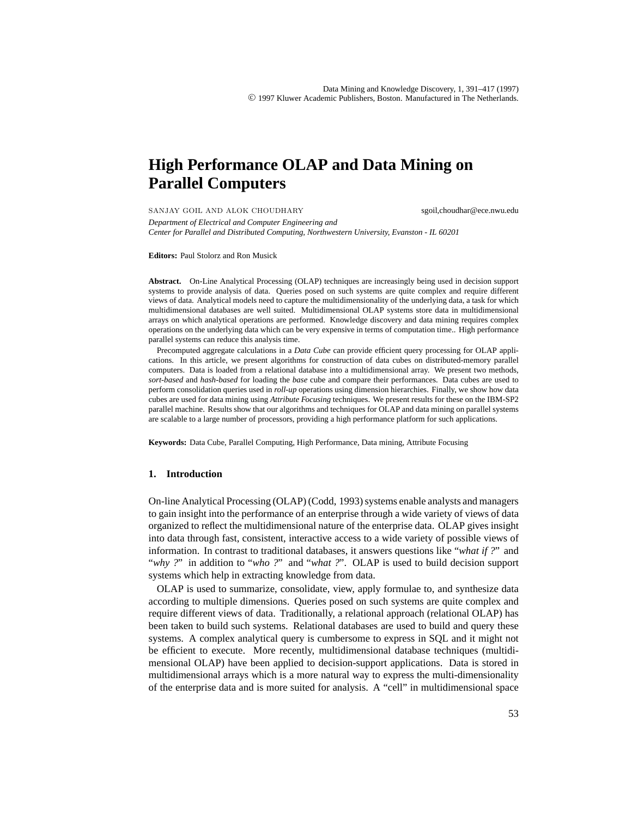# **High Performance OLAP and Data Mining on Parallel Computers**

SANJAY GOIL AND ALOK CHOUDHARY sgoil,choudhar@ece.nwu.edu

*Department of Electrical and Computer Engineering and Center for Parallel and Distributed Computing, Northwestern University, Evanston - IL 60201*

**Editors:** Paul Stolorz and Ron Musick

**Abstract.** On-Line Analytical Processing (OLAP) techniques are increasingly being used in decision support systems to provide analysis of data. Queries posed on such systems are quite complex and require different views of data. Analytical models need to capture the multidimensionality of the underlying data, a task for which multidimensional databases are well suited. Multidimensional OLAP systems store data in multidimensional arrays on which analytical operations are performed. Knowledge discovery and data mining requires complex operations on the underlying data which can be very expensive in terms of computation time.. High performance parallel systems can reduce this analysis time.

Precomputed aggregate calculations in a *Data Cube* can provide efficient query processing for OLAP applications. In this article, we present algorithms for construction of data cubes on distributed-memory parallel computers. Data is loaded from a relational database into a multidimensional array. We present two methods, *sort-based* and *hash-based* for loading the *base* cube and compare their performances. Data cubes are used to perform consolidation queries used in *roll-up* operations using dimension hierarchies. Finally, we show how data cubes are used for data mining using *Attribute Focusing* techniques. We present results for these on the IBM-SP2 parallel machine. Results show that our algorithms and techniques for OLAP and data mining on parallel systems are scalable to a large number of processors, providing a high performance platform for such applications.

**Keywords:** Data Cube, Parallel Computing, High Performance, Data mining, Attribute Focusing

# **1. Introduction**

On-line Analytical Processing (OLAP) (Codd, 1993) systems enable analysts and managers to gain insight into the performance of an enterprise through a wide variety of views of data organized to reflect the multidimensional nature of the enterprise data. OLAP gives insight into data through fast, consistent, interactive access to a wide variety of possible views of information. In contrast to traditional databases, it answers questions like "*what if ?*" and "*why ?*" in addition to "*who ?*" and "*what ?*". OLAP is used to build decision support systems which help in extracting knowledge from data.

OLAP is used to summarize, consolidate, view, apply formulae to, and synthesize data according to multiple dimensions. Queries posed on such systems are quite complex and require different views of data. Traditionally, a relational approach (relational OLAP) has been taken to build such systems. Relational databases are used to build and query these systems. A complex analytical query is cumbersome to express in SQL and it might not be efficient to execute. More recently, multidimensional database techniques (multidimensional OLAP) have been applied to decision-support applications. Data is stored in multidimensional arrays which is a more natural way to express the multi-dimensionality of the enterprise data and is more suited for analysis. A "cell" in multidimensional space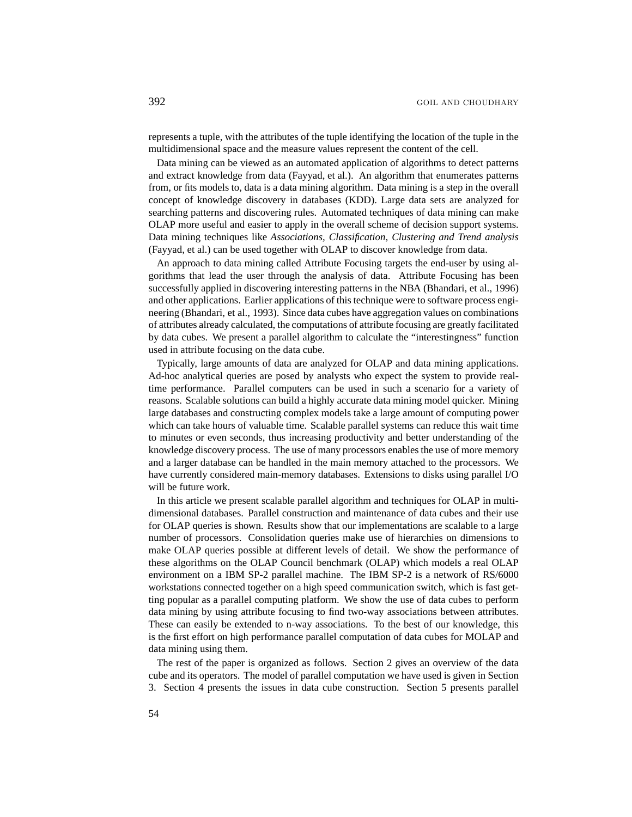represents a tuple, with the attributes of the tuple identifying the location of the tuple in the multidimensional space and the measure values represent the content of the cell.

Data mining can be viewed as an automated application of algorithms to detect patterns and extract knowledge from data (Fayyad, et al.). An algorithm that enumerates patterns from, or fits models to, data is a data mining algorithm. Data mining is a step in the overall concept of knowledge discovery in databases (KDD). Large data sets are analyzed for searching patterns and discovering rules. Automated techniques of data mining can make OLAP more useful and easier to apply in the overall scheme of decision support systems. Data mining techniques like *Associations, Classification, Clustering and Trend analysis* (Fayyad, et al.) can be used together with OLAP to discover knowledge from data.

An approach to data mining called Attribute Focusing targets the end-user by using algorithms that lead the user through the analysis of data. Attribute Focusing has been successfully applied in discovering interesting patterns in the NBA (Bhandari, et al., 1996) and other applications. Earlier applications of this technique were to software process engineering (Bhandari, et al., 1993). Since data cubes have aggregation values on combinations of attributes already calculated, the computations of attribute focusing are greatly facilitated by data cubes. We present a parallel algorithm to calculate the "interestingness" function used in attribute focusing on the data cube.

Typically, large amounts of data are analyzed for OLAP and data mining applications. Ad-hoc analytical queries are posed by analysts who expect the system to provide realtime performance. Parallel computers can be used in such a scenario for a variety of reasons. Scalable solutions can build a highly accurate data mining model quicker. Mining large databases and constructing complex models take a large amount of computing power which can take hours of valuable time. Scalable parallel systems can reduce this wait time to minutes or even seconds, thus increasing productivity and better understanding of the knowledge discovery process. The use of many processors enables the use of more memory and a larger database can be handled in the main memory attached to the processors. We have currently considered main-memory databases. Extensions to disks using parallel I/O will be future work.

In this article we present scalable parallel algorithm and techniques for OLAP in multidimensional databases. Parallel construction and maintenance of data cubes and their use for OLAP queries is shown. Results show that our implementations are scalable to a large number of processors. Consolidation queries make use of hierarchies on dimensions to make OLAP queries possible at different levels of detail. We show the performance of these algorithms on the OLAP Council benchmark (OLAP) which models a real OLAP environment on a IBM SP-2 parallel machine. The IBM SP-2 is a network of RS/6000 workstations connected together on a high speed communication switch, which is fast getting popular as a parallel computing platform. We show the use of data cubes to perform data mining by using attribute focusing to find two-way associations between attributes. These can easily be extended to n-way associations. To the best of our knowledge, this is the first effort on high performance parallel computation of data cubes for MOLAP and data mining using them.

The rest of the paper is organized as follows. Section 2 gives an overview of the data cube and its operators. The model of parallel computation we have used is given in Section 3. Section 4 presents the issues in data cube construction. Section 5 presents parallel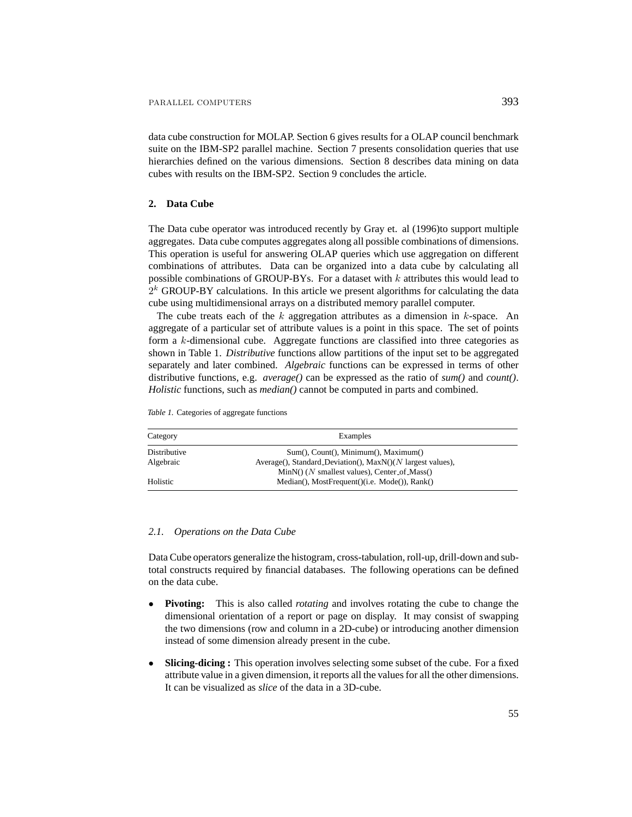data cube construction for MOLAP. Section 6 gives results for a OLAP council benchmark suite on the IBM-SP2 parallel machine. Section 7 presents consolidation queries that use hierarchies defined on the various dimensions. Section 8 describes data mining on data cubes with results on the IBM-SP2. Section 9 concludes the article.

# **2. Data Cube**

The Data cube operator was introduced recently by Gray et. al (1996)to support multiple aggregates. Data cube computes aggregates along all possible combinations of dimensions. This operation is useful for answering OLAP queries which use aggregation on different combinations of attributes. Data can be organized into a data cube by calculating all possible combinations of GROUP-BYs. For a dataset with k attributes this would lead to  $2<sup>k</sup>$  GROUP-BY calculations. In this article we present algorithms for calculating the data cube using multidimensional arrays on a distributed memory parallel computer.

The cube treats each of the k aggregation attributes as a dimension in  $k$ -space. An aggregate of a particular set of attribute values is a point in this space. The set of points form a  $k$ -dimensional cube. Aggregate functions are classified into three categories as shown in Table 1. *Distributive* functions allow partitions of the input set to be aggregated separately and later combined. *Algebraic* functions can be expressed in terms of other distributive functions, e.g. *average()* can be expressed as the ratio of *sum()* and *count()*. *Holistic* functions, such as *median()* cannot be computed in parts and combined.

| Category            | Examples                                                  |  |
|---------------------|-----------------------------------------------------------|--|
| <b>Distributive</b> | Sum(), Count(), Minimum(), Maximum()                      |  |
| Algebraic           | Average(), Standard Deviation(), $MaxN()$ argest values), |  |
|                     | $MinN()$ (N smallest values), Center of Mass()            |  |
| Holistic            | Median(), MostFrequent()(i.e. Mode()), Rank()             |  |

# *2.1. Operations on the Data Cube*

Data Cube operators generalize the histogram, cross-tabulation, roll-up, drill-down and subtotal constructs required by financial databases. The following operations can be defined on the data cube.

- **Pivoting:** This is also called *rotating* and involves rotating the cube to change the dimensional orientation of a report or page on display. It may consist of swapping the two dimensions (row and column in a 2D-cube) or introducing another dimension instead of some dimension already present in the cube.
- **Slicing-dicing :** This operation involves selecting some subset of the cube. For a fixed attribute value in a given dimension, it reports all the values for all the other dimensions. It can be visualized as *slice* of the data in a 3D-cube.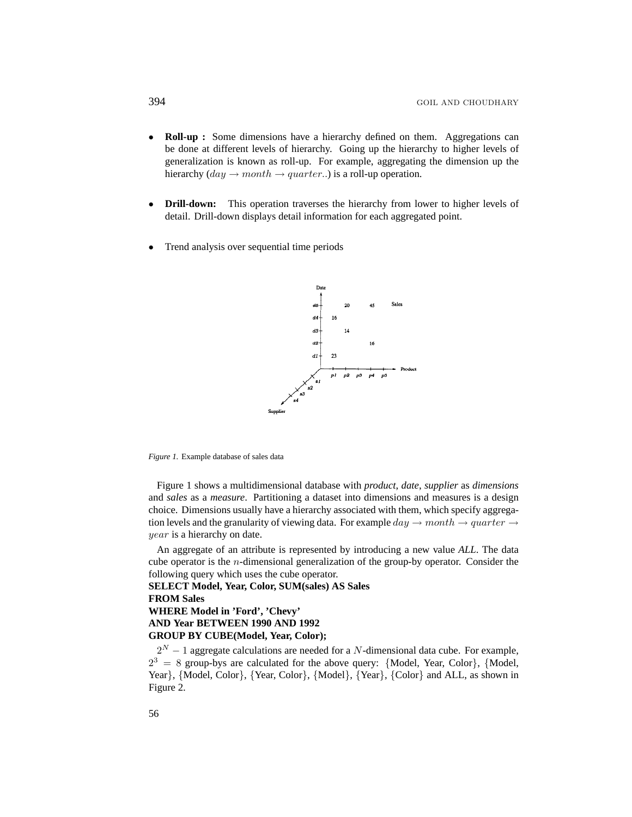- **Roll-up :** Some dimensions have a hierarchy defined on them. Aggregations can be done at different levels of hierarchy. Going up the hierarchy to higher levels of generalization is known as roll-up. For example, aggregating the dimension up the hierarchy ( $day \rightarrow month \rightarrow quarter.$ ) is a roll-up operation.
- **Drill-down:** This operation traverses the hierarchy from lower to higher levels of detail. Drill-down displays detail information for each aggregated point.
- Trend analysis over sequential time periods





Figure 1 shows a multidimensional database with *product*, *date*, *supplier* as *dimensions* and *sales* as a *measure*. Partitioning a dataset into dimensions and measures is a design choice. Dimensions usually have a hierarchy associated with them, which specify aggregation levels and the granularity of viewing data. For example  $day \rightarrow month \rightarrow quarter \rightarrow$ year is a hierarchy on date.

An aggregate of an attribute is represented by introducing a new value *ALL*. The data cube operator is the n-dimensional generalization of the group-by operator. Consider the following query which uses the cube operator.

**SELECT Model, Year, Color, SUM(sales) AS Sales FROM Sales WHERE Model in 'Ford', 'Chevy' AND Year BETWEEN 1990 AND 1992 GROUP BY CUBE(Model, Year, Color);**

 $2^N - 1$  aggregate calculations are needed for a N-dimensional data cube. For example,  $2<sup>3</sup> = 8$  group-bys are calculated for the above query: {Model, Year, Color}, {Model, Year}, {Model, Color}, {Year, Color}, {Model}, {Year}, {Color} and ALL, as shown in Figure 2.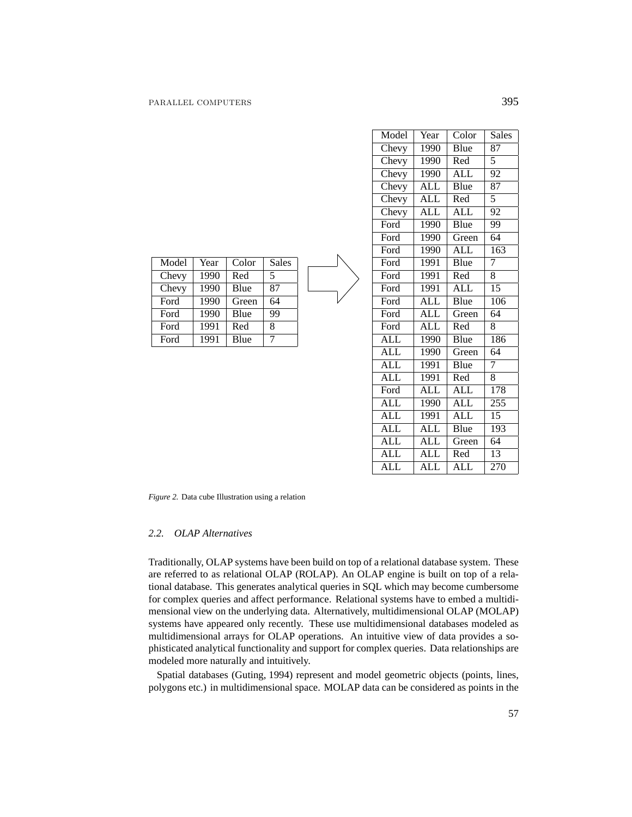| Model                     | Year                    | Color       | <b>Sales</b>     |
|---------------------------|-------------------------|-------------|------------------|
| Chevy                     | 1990                    | Blue        | 87               |
| Chevy                     | 1990                    | Red         | 5                |
| Chevy                     | 1990                    | <b>ALL</b>  | 92               |
| $\overline{\text{Chevy}}$ | ALL                     | Blue        | 87               |
| Chevy                     | ALL                     | Red         | 5                |
| Chevy                     | <b>ALL</b>              | <b>ALL</b>  | $\overline{92}$  |
| Ford                      | 1990                    | Blue        | 99               |
| Ford                      | 1990                    | Green       | 64               |
| Ford                      | 1990                    | <b>ALL</b>  | 163              |
| Ford                      | 1991                    | <b>Blue</b> | 7                |
| Ford                      | 1991                    | Red         | 8                |
| Ford                      | 1991                    | <b>ALL</b>  | $\overline{15}$  |
| Ford                      | <b>ALL</b>              | Blue        | $\overline{106}$ |
| Ford                      | <b>ALL</b>              | Green       | 64               |
| Ford                      | ALL                     | Red         | 8                |
| <b>ALL</b>                | 1990                    | Blue        | 186              |
| <b>ALL</b>                | 1990                    | Green       | $\overline{64}$  |
| <b>ALL</b>                | 1991                    | Blue        | 7                |
| <b>ALL</b>                | 1991                    | Red         | 8                |
| Ford                      | $\overline{\text{AL}}$  | <b>ALL</b>  | 178              |
| <b>ALL</b>                | 1990                    | <b>ALL</b>  | $\overline{255}$ |
| <b>ALL</b>                | 1991                    | <b>ALL</b>  | 15               |
| ALL                       | ALL                     | Blue        | 193              |
| <b>ALL</b>                | ALL                     | Green       | 64               |
| <b>ALL</b>                | $\overline{\text{ALL}}$ | Red         | 13               |
| <b>ALL</b>                | <b>ALL</b>              | <b>ALL</b>  | 270              |

| Model | Year | Color | Sales                    |
|-------|------|-------|--------------------------|
| Chevy | 1990 | Red   | $\overline{\mathcal{L}}$ |
| Chevy | 1990 | Blue  | 87                       |
| Ford  | 1990 | Green | 64                       |
| Ford  | 1990 | Blue  | 99                       |
| Ford  | 1991 | Red   | 8                        |
| Ford  | 1991 | Blue  | 7                        |

*Figure 2.* Data cube Illustration using a relation

# *2.2. OLAP Alternatives*

Traditionally, OLAP systems have been build on top of a relational database system. These are referred to as relational OLAP (ROLAP). An OLAP engine is built on top of a relational database. This generates analytical queries in SQL which may become cumbersome for complex queries and affect performance. Relational systems have to embed a multidimensional view on the underlying data. Alternatively, multidimensional OLAP (MOLAP) systems have appeared only recently. These use multidimensional databases modeled as multidimensional arrays for OLAP operations. An intuitive view of data provides a sophisticated analytical functionality and support for complex queries. Data relationships are modeled more naturally and intuitively.

Spatial databases (Guting, 1994) represent and model geometric objects (points, lines, polygons etc.) in multidimensional space. MOLAP data can be considered as points in the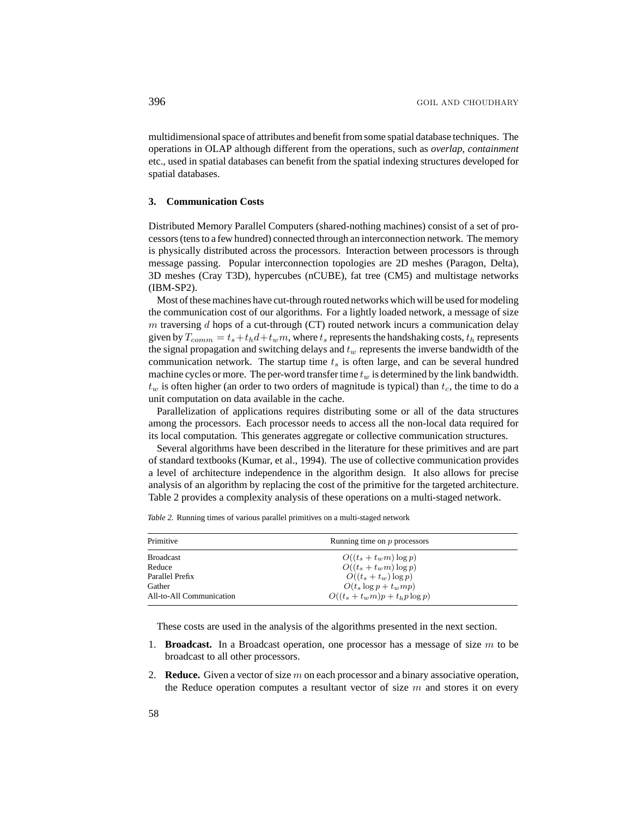multidimensional space of attributes and benefit from some spatial database techniques. The operations in OLAP although different from the operations, such as *overlap*, *containment* etc., used in spatial databases can benefit from the spatial indexing structures developed for spatial databases.

# **3. Communication Costs**

Distributed Memory Parallel Computers (shared-nothing machines) consist of a set of processors (tens to a few hundred) connected through an interconnection network. The memory is physically distributed across the processors. Interaction between processors is through message passing. Popular interconnection topologies are 2D meshes (Paragon, Delta), 3D meshes (Cray T3D), hypercubes (nCUBE), fat tree (CM5) and multistage networks (IBM-SP2).

Most of these machines have cut-through routed networks which will be used for modeling the communication cost of our algorithms. For a lightly loaded network, a message of size  $m$  traversing  $d$  hops of a cut-through (CT) routed network incurs a communication delay given by  $T_{comm} = t_s + t_h d + t_w m$ , where  $t_s$  represents the handshaking costs,  $t_h$  represents the signal propagation and switching delays and  $t_w$  represents the inverse bandwidth of the communication network. The startup time  $t<sub>s</sub>$  is often large, and can be several hundred machine cycles or more. The per-word transfer time  $t_w$  is determined by the link bandwidth.  $t_w$  is often higher (an order to two orders of magnitude is typical) than  $t_c$ , the time to do a unit computation on data available in the cache.

Parallelization of applications requires distributing some or all of the data structures among the processors. Each processor needs to access all the non-local data required for its local computation. This generates aggregate or collective communication structures.

Several algorithms have been described in the literature for these primitives and are part of standard textbooks (Kumar, et al., 1994). The use of collective communication provides a level of architecture independence in the algorithm design. It also allows for precise analysis of an algorithm by replacing the cost of the primitive for the targeted architecture. Table 2 provides a complexity analysis of these operations on a multi-staged network.

*Table 2.* Running times of various parallel primitives on a multi-staged network

| Primitive                | Running time on $p$ processors     |  |
|--------------------------|------------------------------------|--|
| <b>Broadcast</b>         | $O((t_s + t_w m) \log p)$          |  |
| Reduce                   | $O((t_s + t_w m) \log p)$          |  |
| Parallel Prefix          | $O((t_s + t_w) \log p)$            |  |
| Gather                   | $O(t_s \log p + t_w mp)$           |  |
| All-to-All Communication | $O((t_s + t_w m)p + t_h p \log p)$ |  |

These costs are used in the analysis of the algorithms presented in the next section.

- 1. **Broadcast.** In a Broadcast operation, one processor has a message of size m to be broadcast to all other processors.
- 2. **Reduce.** Given a vector of size m on each processor and a binary associative operation, the Reduce operation computes a resultant vector of size  $m$  and stores it on every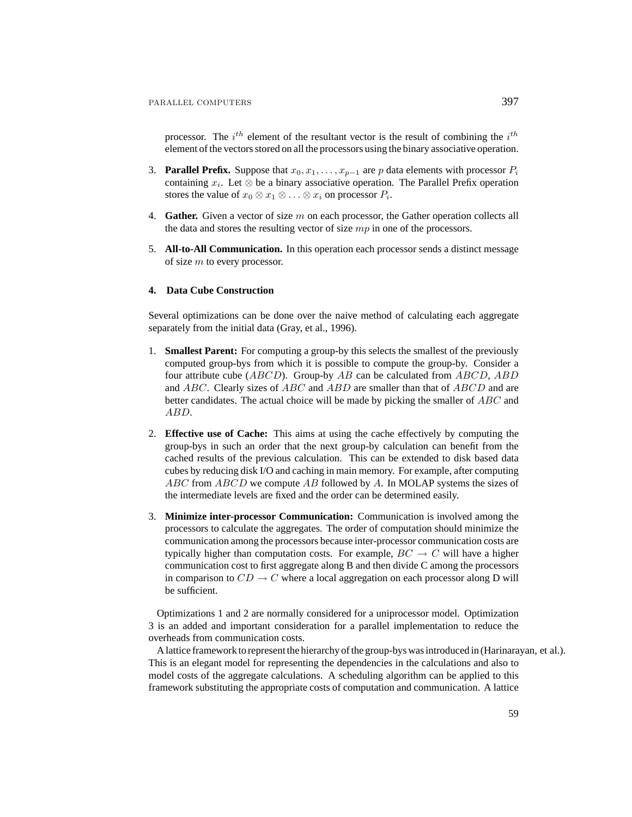processor. The  $i^{th}$  element of the resultant vector is the result of combining the  $i^{th}$ element of the vectors stored on all the processors using the binary associative operation.

- 3. **Parallel Prefix.** Suppose that  $x_0, x_1, \ldots, x_{p-1}$  are p data elements with processor  $P_i$ containing  $x_i$ . Let  $\otimes$  be a binary associative operation. The Parallel Prefix operation stores the value of  $x_0 \otimes x_1 \otimes \ldots \otimes x_i$  on processor  $P_i$ .
- 4. **Gather.** Given a vector of size m on each processor, the Gather operation collects all the data and stores the resulting vector of size mp in one of the processors.
- 5. **All-to-All Communication.** In this operation each processor sends a distinct message of size m to every processor.

#### **4. Data Cube Construction**

Several optimizations can be done over the naive method of calculating each aggregate separately from the initial data (Gray, et al., 1996).

- 1. **Smallest Parent:** For computing a group-by this selects the smallest of the previously computed group-bys from which it is possible to compute the group-by. Consider a four attribute cube  $(ABCD)$ . Group-by AB can be calculated from  $ABCD$ , ABD and ABC. Clearly sizes of ABC and ABD are smaller than that of ABCD and are better candidates. The actual choice will be made by picking the smaller of ABC and ABD.
- 2. **Effective use of Cache:** This aims at using the cache effectively by computing the group-bys in such an order that the next group-by calculation can benefit from the cached results of the previous calculation. This can be extended to disk based data cubes by reducing disk I/O and caching in main memory. For example, after computing  $ABC$  from  $ABCD$  we compute AB followed by A. In MOLAP systems the sizes of the intermediate levels are fixed and the order can be determined easily.
- 3. **Minimize inter-processor Communication:** Communication is involved among the processors to calculate the aggregates. The order of computation should minimize the communication among the processors because inter-processor communication costs are typically higher than computation costs. For example,  $BC \rightarrow C$  will have a higher communication cost to first aggregate along B and then divide C among the processors in comparison to  $CD \rightarrow C$  where a local aggregation on each processor along D will be sufficient.

Optimizations 1 and 2 are normally considered for a uniprocessor model. Optimization 3 is an added and important consideration for a parallel implementation to reduce the overheads from communication costs.

A lattice framework to represent the hierarchy of the group-bys was introduced in (Harinarayan, et al.). This is an elegant model for representing the dependencies in the calculations and also to model costs of the aggregate calculations. A scheduling algorithm can be applied to this framework substituting the appropriate costs of computation and communication. A lattice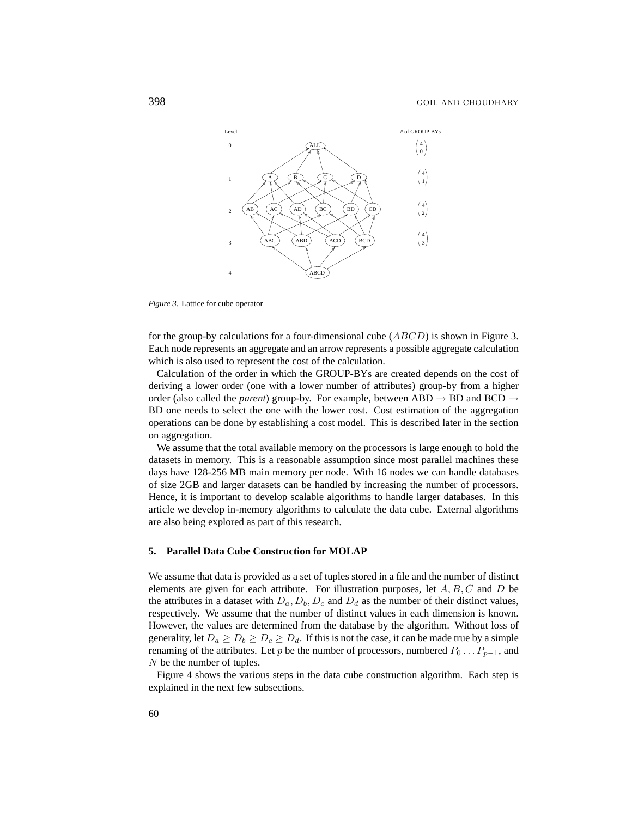

*Figure 3.* Lattice for cube operator

for the group-by calculations for a four-dimensional cube (ABCD) is shown in Figure 3. Each node represents an aggregate and an arrow represents a possible aggregate calculation which is also used to represent the cost of the calculation.

Calculation of the order in which the GROUP-BYs are created depends on the cost of deriving a lower order (one with a lower number of attributes) group-by from a higher order (also called the *parent*) group-by. For example, between ABD  $\rightarrow$  BD and BCD  $\rightarrow$ BD one needs to select the one with the lower cost. Cost estimation of the aggregation operations can be done by establishing a cost model. This is described later in the section on aggregation.

We assume that the total available memory on the processors is large enough to hold the datasets in memory. This is a reasonable assumption since most parallel machines these days have 128-256 MB main memory per node. With 16 nodes we can handle databases of size 2GB and larger datasets can be handled by increasing the number of processors. Hence, it is important to develop scalable algorithms to handle larger databases. In this article we develop in-memory algorithms to calculate the data cube. External algorithms are also being explored as part of this research.

# **5. Parallel Data Cube Construction for MOLAP**

We assume that data is provided as a set of tuples stored in a file and the number of distinct elements are given for each attribute. For illustration purposes, let  $A, B, C$  and  $D$  be the attributes in a dataset with  $D_a$ ,  $D_b$ ,  $D_c$  and  $D_d$  as the number of their distinct values, respectively. We assume that the number of distinct values in each dimension is known. However, the values are determined from the database by the algorithm. Without loss of generality, let  $D_a \ge D_b \ge D_c \ge D_d$ . If this is not the case, it can be made true by a simple renaming of the attributes. Let p be the number of processors, numbered  $P_0 \dots P_{p-1}$ , and N be the number of tuples.

Figure 4 shows the various steps in the data cube construction algorithm. Each step is explained in the next few subsections.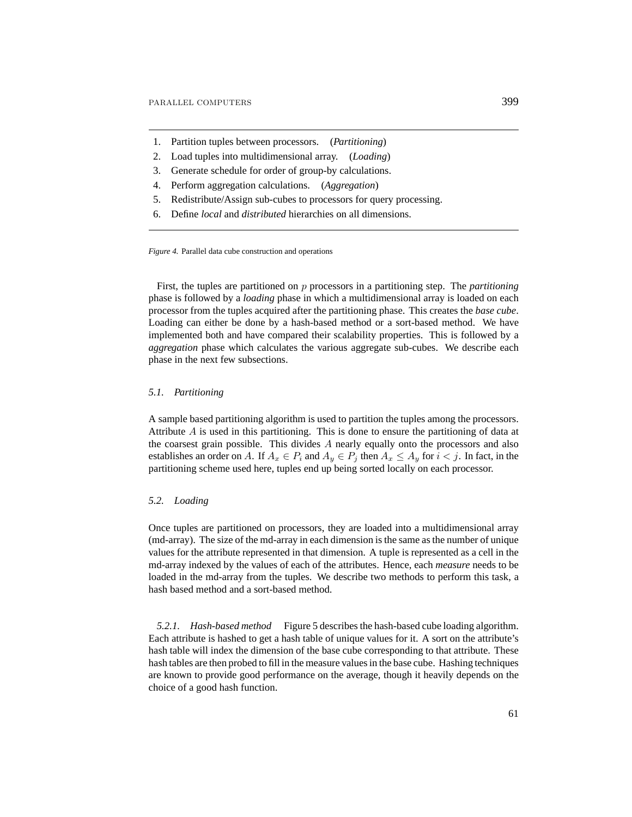- 1. Partition tuples between processors. (*Partitioning*)
- 2. Load tuples into multidimensional array. (*Loading*)
- 3. Generate schedule for order of group-by calculations.
- 4. Perform aggregation calculations. (*Aggregation*)
- 5. Redistribute/Assign sub-cubes to processors for query processing.
- 6. Define *local* and *distributed* hierarchies on all dimensions.

*Figure 4.* Parallel data cube construction and operations

First, the tuples are partitioned on p processors in a partitioning step. The *partitioning* phase is followed by a *loading* phase in which a multidimensional array is loaded on each processor from the tuples acquired after the partitioning phase. This creates the *base cube*. Loading can either be done by a hash-based method or a sort-based method. We have implemented both and have compared their scalability properties. This is followed by a *aggregation* phase which calculates the various aggregate sub-cubes. We describe each phase in the next few subsections.

# *5.1. Partitioning*

A sample based partitioning algorithm is used to partition the tuples among the processors. Attribute A is used in this partitioning. This is done to ensure the partitioning of data at the coarsest grain possible. This divides  $A$  nearly equally onto the processors and also establishes an order on A. If  $A_x \in P_i$  and  $A_y \in P_j$  then  $A_x \leq A_y$  for  $i < j$ . In fact, in the partitioning scheme used here, tuples end up being sorted locally on each processor.

# *5.2. Loading*

Once tuples are partitioned on processors, they are loaded into a multidimensional array (md-array). The size of the md-array in each dimension is the same as the number of unique values for the attribute represented in that dimension. A tuple is represented as a cell in the md-array indexed by the values of each of the attributes. Hence, each *measure* needs to be loaded in the md-array from the tuples. We describe two methods to perform this task, a hash based method and a sort-based method.

*5.2.1. Hash-based method* Figure 5 describes the hash-based cube loading algorithm. Each attribute is hashed to get a hash table of unique values for it. A sort on the attribute's hash table will index the dimension of the base cube corresponding to that attribute. These hash tables are then probed to fill in the measure values in the base cube. Hashing techniques are known to provide good performance on the average, though it heavily depends on the choice of a good hash function.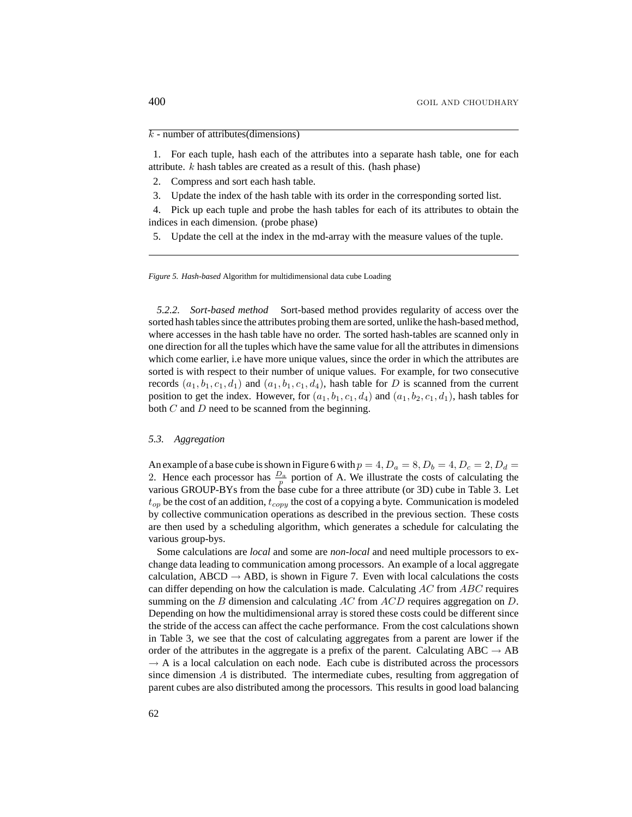$k$  - number of attributes(dimensions)

1. For each tuple, hash each of the attributes into a separate hash table, one for each attribute.  $k$  hash tables are created as a result of this. (hash phase)

2. Compress and sort each hash table.

3. Update the index of the hash table with its order in the corresponding sorted list.

4. Pick up each tuple and probe the hash tables for each of its attributes to obtain the indices in each dimension. (probe phase)

5. Update the cell at the index in the md-array with the measure values of the tuple.

*Figure 5. Hash-based* Algorithm for multidimensional data cube Loading

*5.2.2. Sort-based method* Sort-based method provides regularity of access over the sorted hash tables since the attributes probing them are sorted, unlike the hash-based method, where accesses in the hash table have no order. The sorted hash-tables are scanned only in one direction for all the tuples which have the same value for all the attributes in dimensions which come earlier, i.e have more unique values, since the order in which the attributes are sorted is with respect to their number of unique values. For example, for two consecutive records  $(a_1, b_1, c_1, d_1)$  and  $(a_1, b_1, c_1, d_4)$ , hash table for D is scanned from the current position to get the index. However, for  $(a_1, b_1, c_1, d_4)$  and  $(a_1, b_2, c_1, d_1)$ , hash tables for both  $C$  and  $D$  need to be scanned from the beginning.

#### *5.3. Aggregation*

An example of a base cube is shown in Figure 6 with  $p = 4$ ,  $D_a = 8$ ,  $D_b = 4$ ,  $D_c = 2$ ,  $D_d =$ 2. Hence each processor has  $\frac{D_a}{p}$  portion of A. We illustrate the costs of calculating the various GROUP-BYs from the base cube for a three attribute (or 3D) cube in Table 3. Let  $t_{op}$  be the cost of an addition,  $t_{copy}$  the cost of a copying a byte. Communication is modeled by collective communication operations as described in the previous section. These costs are then used by a scheduling algorithm, which generates a schedule for calculating the various group-bys.

Some calculations are *local* and some are *non-local* and need multiple processors to exchange data leading to communication among processors. An example of a local aggregate calculation, ABCD  $\rightarrow$  ABD, is shown in Figure 7. Even with local calculations the costs can differ depending on how the calculation is made. Calculating  $AC$  from  $ABC$  requires summing on the B dimension and calculating  $AC$  from  $ACD$  requires aggregation on D. Depending on how the multidimensional array is stored these costs could be different since the stride of the access can affect the cache performance. From the cost calculations shown in Table 3, we see that the cost of calculating aggregates from a parent are lower if the order of the attributes in the aggregate is a prefix of the parent. Calculating ABC  $\rightarrow$  AB  $\rightarrow$  A is a local calculation on each node. Each cube is distributed across the processors since dimension  $A$  is distributed. The intermediate cubes, resulting from aggregation of parent cubes are also distributed among the processors. This results in good load balancing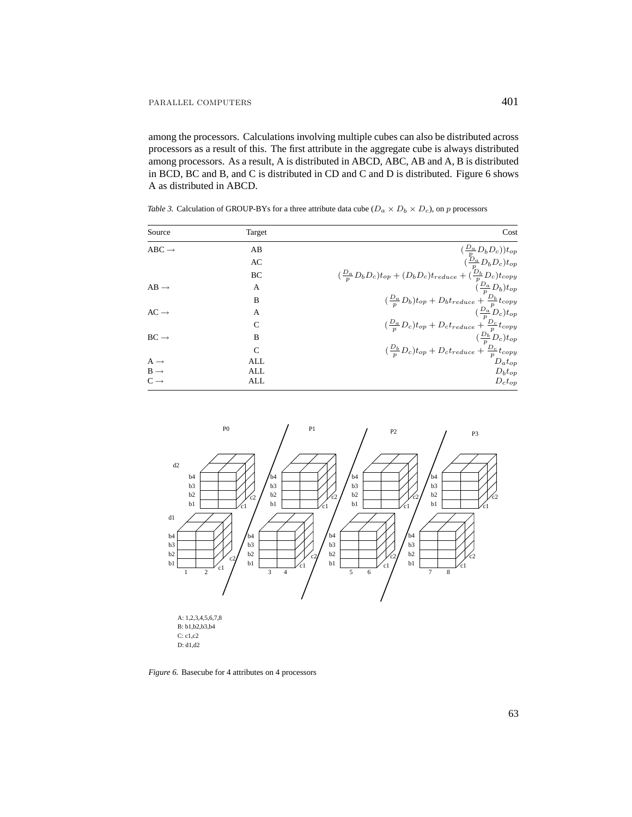among the processors. Calculations involving multiple cubes can also be distributed across processors as a result of this. The first attribute in the aggregate cube is always distributed among processors. As a result, A is distributed in ABCD, ABC, AB and A, B is distributed in BCD, BC and B, and C is distributed in CD and C and D is distributed. Figure 6 shows A as distributed in ABCD.

| Source                             | Target        | Cost                                                                                                                                                                                                       |
|------------------------------------|---------------|------------------------------------------------------------------------------------------------------------------------------------------------------------------------------------------------------------|
| $ABC \rightarrow$                  | AB            | $\begin{array}{c} (\frac{D_a}{p}D_bD_c))t_{op}\\ (\frac{D_a}{p}D_bD_c)t_{op}\\ (\frac{D_a}{p}D_bD_c)t_{op}\\ (\frac{D_a}{p}D_b)t_{op}) (\frac{D_a}{p_b})t_{op}\\ (\frac{D_a}{p_c}D_b)t_{op}\\ \end{array}$ |
|                                    | AC            |                                                                                                                                                                                                            |
|                                    | BC            |                                                                                                                                                                                                            |
| $AB \rightarrow$                   | A             |                                                                                                                                                                                                            |
|                                    | B             | $(\frac{D_a}{p}D_b)t_{op} + D_b t_{reduce} + \frac{D_b}{p}t_{copy}$                                                                                                                                        |
| $AC \rightarrow$                   | A             | $(\frac{D_a}{n}D_c)t_{op}$                                                                                                                                                                                 |
|                                    | $\mathsf{C}$  | $(\frac{D_a}{p}D_c)t_{op} + D_c t_{reduce} + \frac{D_c}{p}t_{copy}$                                                                                                                                        |
| $BC \rightarrow$                   | B             | $(\frac{D_b}{p}D_c)t_{op}$                                                                                                                                                                                 |
|                                    | $\mathcal{C}$ | $(\frac{D_b}{n}D_c)t_{op} + D_c t_{reduce} + \frac{D_c}{p}t_{copy}$                                                                                                                                        |
| $A \rightarrow$                    | ALL           | $D_{a}t_{op}$                                                                                                                                                                                              |
| $B \rightarrow$<br>C $\rightarrow$ | <b>ALL</b>    | $D_b t_{op}$                                                                                                                                                                                               |
|                                    | ALL           | $D_c t_{op}$                                                                                                                                                                                               |

*Table 3.* Calculation of GROUP-BYs for a three attribute data cube ( $D_a \times D_b \times D_c$ ), on p processors



*Figure 6.* Basecube for 4 attributes on 4 processors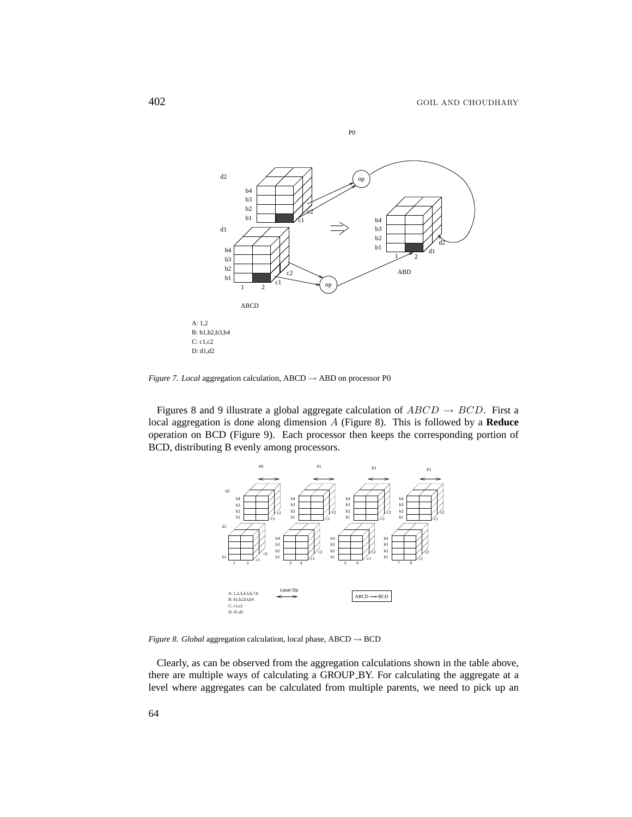

*Figure 7. Local* aggregation calculation, ABCD  $\rightarrow$  ABD on processor P0

Figures 8 and 9 illustrate a global aggregate calculation of  $ABCD \rightarrow BCD$ . First a local aggregation is done along dimension A (Figure 8). This is followed by a **Reduce** operation on BCD (Figure 9). Each processor then keeps the corresponding portion of BCD, distributing B evenly among processors.



*Figure 8. Global* aggregation calculation, local phase, ABCD → BCD

Clearly, as can be observed from the aggregation calculations shown in the table above, there are multiple ways of calculating a GROUP BY. For calculating the aggregate at a level where aggregates can be calculated from multiple parents, we need to pick up an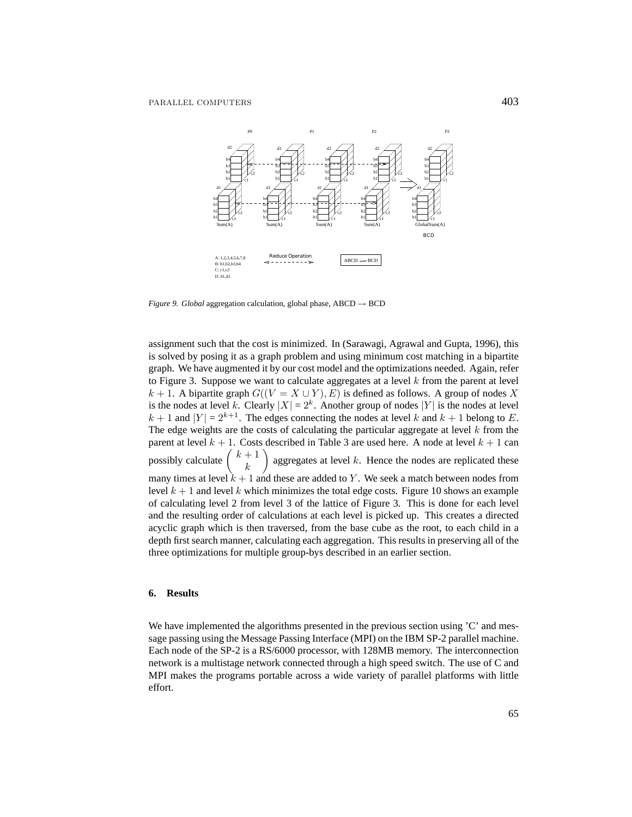

*Figure 9. Global* aggregation calculation, global phase, ABCD → BCD

assignment such that the cost is minimized. In (Sarawagi, Agrawal and Gupta, 1996), this is solved by posing it as a graph problem and using minimum cost matching in a bipartite graph. We have augmented it by our cost model and the optimizations needed. Again, refer to Figure 3. Suppose we want to calculate aggregates at a level  $k$  from the parent at level  $k + 1$ . A bipartite graph  $G((V = X \cup Y), E)$  is defined as follows. A group of nodes X is the nodes at level k. Clearly  $|X| = 2^k$ . Another group of nodes  $|Y|$  is the nodes at level  $k + 1$  and  $|Y| = 2^{k+1}$ . The edges connecting the nodes at level k and  $k + 1$  belong to E. The edge weights are the costs of calculating the particular aggregate at level  $k$  from the parent at level  $k + 1$ . Costs described in Table 3 are used here. A node at level  $k + 1$  can possibly calculate k  $\setminus$ aggregates at level  $k$ . Hence the nodes are replicated these many times at level  $k + 1$  and these are added to Y. We seek a match between nodes from level  $k + 1$  and level k which minimizes the total edge costs. Figure 10 shows an example of calculating level 2 from level 3 of the lattice of Figure 3. This is done for each level and the resulting order of calculations at each level is picked up. This creates a directed acyclic graph which is then traversed, from the base cube as the root, to each child in a depth first search manner, calculating each aggregation. This results in preserving all of the three optimizations for multiple group-bys described in an earlier section.

#### **6. Results**

We have implemented the algorithms presented in the previous section using 'C' and message passing using the Message Passing Interface (MPI) on the IBM SP-2 parallel machine. Each node of the SP-2 is a RS/6000 processor, with 128MB memory. The interconnection network is a multistage network connected through a high speed switch. The use of C and MPI makes the programs portable across a wide variety of parallel platforms with little effort.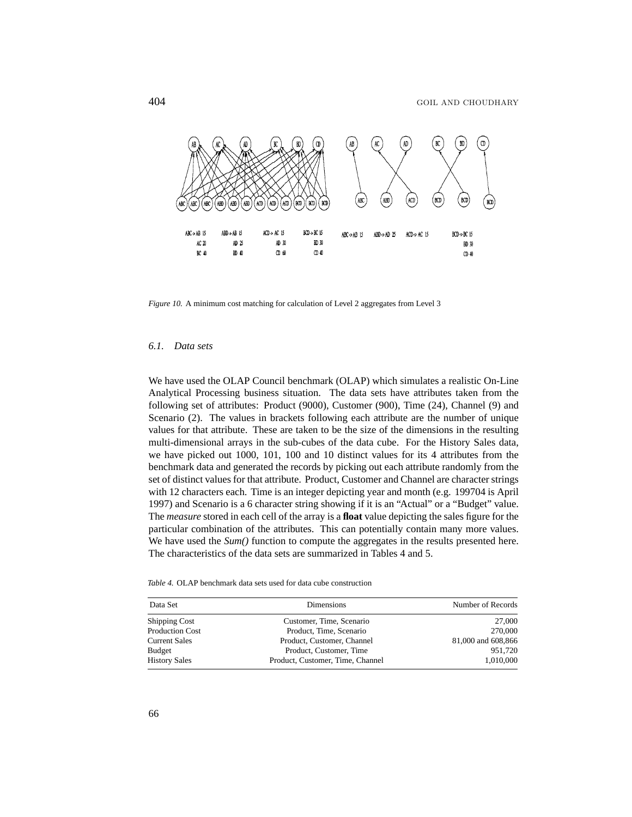

*Figure 10.* A minimum cost matching for calculation of Level 2 aggregates from Level 3

# *6.1. Data sets*

We have used the OLAP Council benchmark (OLAP) which simulates a realistic On-Line Analytical Processing business situation. The data sets have attributes taken from the following set of attributes: Product (9000), Customer (900), Time (24), Channel (9) and Scenario (2). The values in brackets following each attribute are the number of unique values for that attribute. These are taken to be the size of the dimensions in the resulting multi-dimensional arrays in the sub-cubes of the data cube. For the History Sales data, we have picked out 1000, 101, 100 and 10 distinct values for its 4 attributes from the benchmark data and generated the records by picking out each attribute randomly from the set of distinct values for that attribute. Product, Customer and Channel are character strings with 12 characters each. Time is an integer depicting year and month (e.g. 199704 is April 1997) and Scenario is a 6 character string showing if it is an "Actual" or a "Budget" value. The *measure* stored in each cell of the array is a **float** value depicting the sales figure for the particular combination of the attributes. This can potentially contain many more values. We have used the *Sum()* function to compute the aggregates in the results presented here. The characteristics of the data sets are summarized in Tables 4 and 5.

| Table 4. OLAP benchmark data sets used for data cube construction |  |
|-------------------------------------------------------------------|--|
|-------------------------------------------------------------------|--|

| Data Set               | Dimensions                       | Number of Records  |  |
|------------------------|----------------------------------|--------------------|--|
| <b>Shipping Cost</b>   | Customer, Time, Scenario         | 27,000             |  |
| <b>Production Cost</b> | Product, Time, Scenario          | 270,000            |  |
| <b>Current Sales</b>   | Product, Customer, Channel       | 81,000 and 608,866 |  |
| <b>Budget</b>          | Product, Customer, Time          | 951,720            |  |
| <b>History Sales</b>   | Product, Customer, Time, Channel | 1,010,000          |  |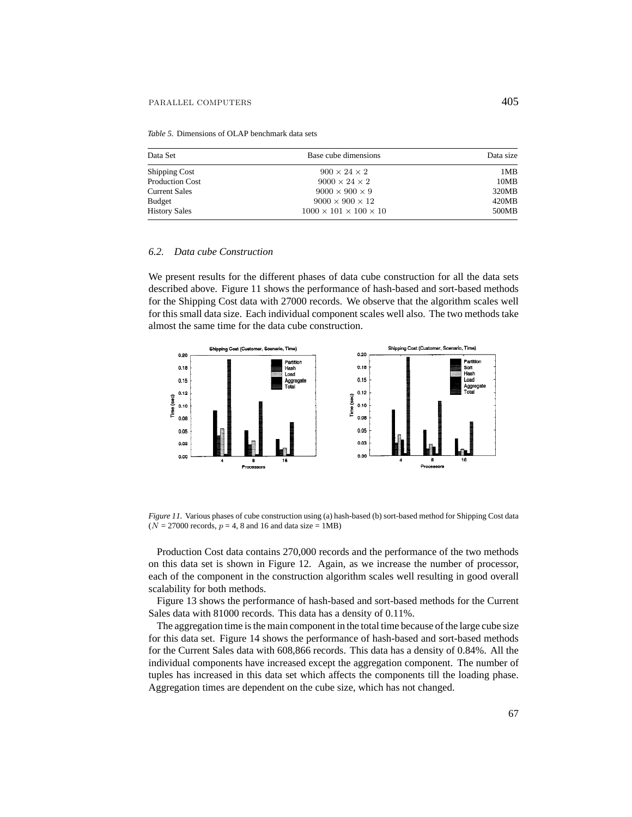*Table 5.* Dimensions of OLAP benchmark data sets

| Data Set               | Base cube dimensions                   | Data size |
|------------------------|----------------------------------------|-----------|
| <b>Shipping Cost</b>   | $900 \times 24 \times 2$               | 1MB       |
| <b>Production Cost</b> | $9000 \times 24 \times 2$              | 10MB      |
| <b>Current Sales</b>   | $9000 \times 900 \times 9$             | 320MB     |
| <b>Budget</b>          | $9000 \times 900 \times 12$            | 420MB     |
| <b>History Sales</b>   | $1000 \times 101 \times 100 \times 10$ | 500MB     |

#### *6.2. Data cube Construction*

We present results for the different phases of data cube construction for all the data sets described above. Figure 11 shows the performance of hash-based and sort-based methods for the Shipping Cost data with 27000 records. We observe that the algorithm scales well for this small data size. Each individual component scales well also. The two methods take almost the same time for the data cube construction.



*Figure 11.* Various phases of cube construction using (a) hash-based (b) sort-based method for Shipping Cost data  $(N = 27000$  records,  $p = 4$ , 8 and 16 and data size = 1MB)

Production Cost data contains 270,000 records and the performance of the two methods on this data set is shown in Figure 12. Again, as we increase the number of processor, each of the component in the construction algorithm scales well resulting in good overall scalability for both methods.

Figure 13 shows the performance of hash-based and sort-based methods for the Current Sales data with 81000 records. This data has a density of 0.11%.

The aggregation time is the main component in the total time because of the large cube size for this data set. Figure 14 shows the performance of hash-based and sort-based methods for the Current Sales data with 608,866 records. This data has a density of 0.84%. All the individual components have increased except the aggregation component. The number of tuples has increased in this data set which affects the components till the loading phase. Aggregation times are dependent on the cube size, which has not changed.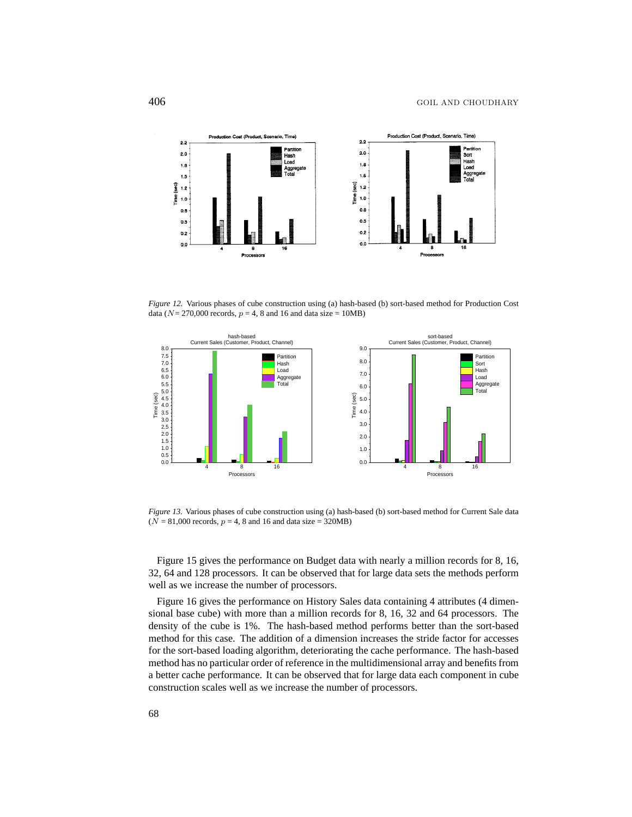

*Figure 12.* Various phases of cube construction using (a) hash-based (b) sort-based method for Production Cost data ( $N = 270,000$  records,  $p = 4$ , 8 and 16 and data size = 10MB)



*Figure 13.* Various phases of cube construction using (a) hash-based (b) sort-based method for Current Sale data  $(N = 81,000$  records,  $p = 4, 8$  and 16 and data size = 320MB)

Figure 15 gives the performance on Budget data with nearly a million records for 8, 16, 32, 64 and 128 processors. It can be observed that for large data sets the methods perform well as we increase the number of processors.

Figure 16 gives the performance on History Sales data containing 4 attributes (4 dimensional base cube) with more than a million records for 8, 16, 32 and 64 processors. The density of the cube is 1%. The hash-based method performs better than the sort-based method for this case. The addition of a dimension increases the stride factor for accesses for the sort-based loading algorithm, deteriorating the cache performance. The hash-based method has no particular order of reference in the multidimensional array and benefits from a better cache performance. It can be observed that for large data each component in cube construction scales well as we increase the number of processors.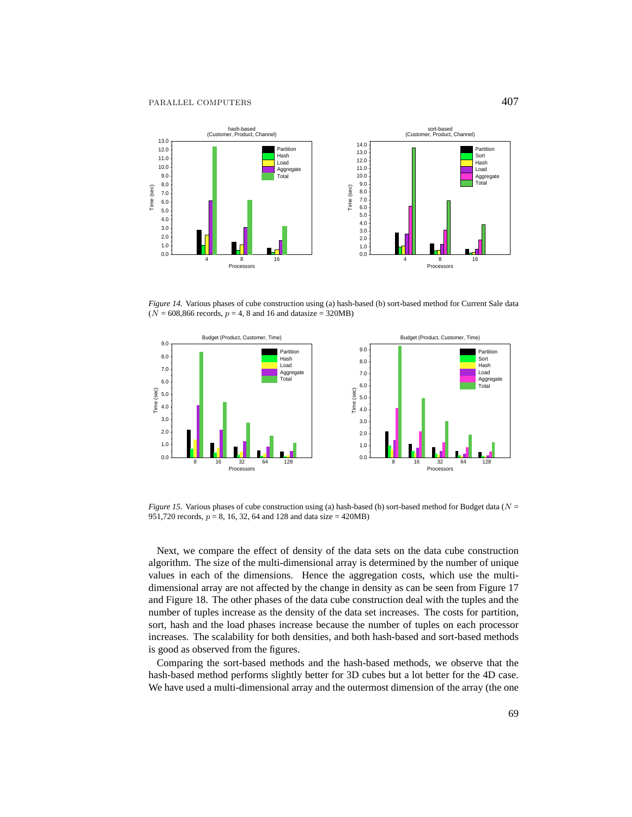

*Figure 14.* Various phases of cube construction using (a) hash-based (b) sort-based method for Current Sale data  $(N = 608,866$  records,  $p = 4, 8$  and 16 and datasize = 320MB)



*Figure 15.* Various phases of cube construction using (a) hash-based (b) sort-based method for Budget data (N = 951,720 records,  $p = 8$ , 16, 32, 64 and 128 and data size = 420MB)

Next, we compare the effect of density of the data sets on the data cube construction algorithm. The size of the multi-dimensional array is determined by the number of unique values in each of the dimensions. Hence the aggregation costs, which use the multidimensional array are not affected by the change in density as can be seen from Figure 17 and Figure 18. The other phases of the data cube construction deal with the tuples and the number of tuples increase as the density of the data set increases. The costs for partition, sort, hash and the load phases increase because the number of tuples on each processor increases. The scalability for both densities, and both hash-based and sort-based methods is good as observed from the figures.

Comparing the sort-based methods and the hash-based methods, we observe that the hash-based method performs slightly better for 3D cubes but a lot better for the 4D case. We have used a multi-dimensional array and the outermost dimension of the array (the one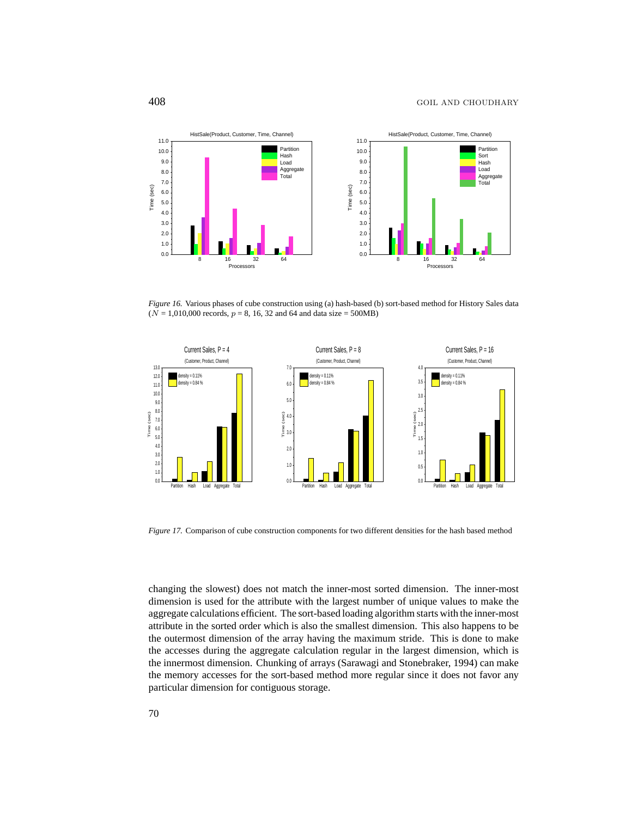

*Figure 16.* Various phases of cube construction using (a) hash-based (b) sort-based method for History Sales data  $(N = 1,010,000$  records,  $p = 8, 16, 32$  and 64 and data size = 500MB)



*Figure 17.* Comparison of cube construction components for two different densities for the hash based method

changing the slowest) does not match the inner-most sorted dimension. The inner-most dimension is used for the attribute with the largest number of unique values to make the aggregate calculations efficient. The sort-based loading algorithm starts with the inner-most attribute in the sorted order which is also the smallest dimension. This also happens to be the outermost dimension of the array having the maximum stride. This is done to make the accesses during the aggregate calculation regular in the largest dimension, which is the innermost dimension. Chunking of arrays (Sarawagi and Stonebraker, 1994) can make the memory accesses for the sort-based method more regular since it does not favor any particular dimension for contiguous storage.

70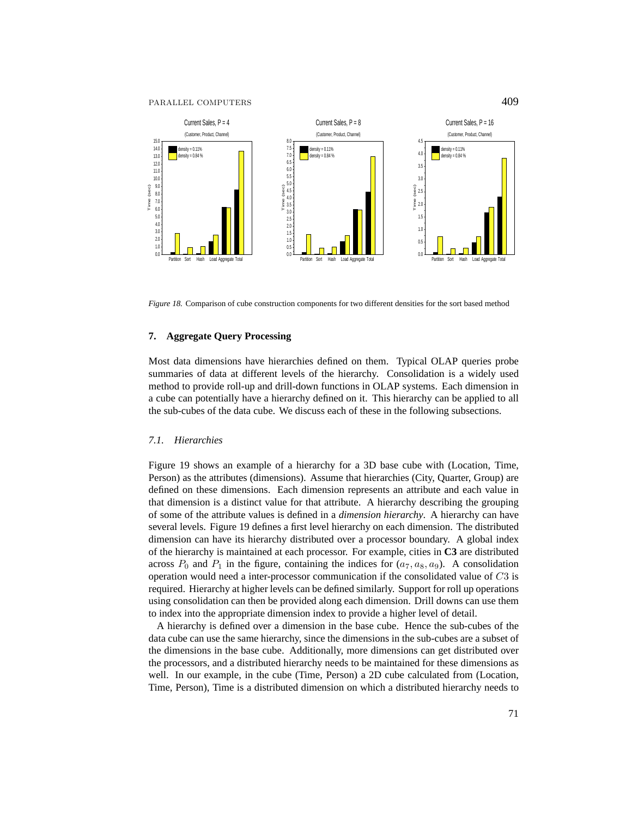

*Figure 18.* Comparison of cube construction components for two different densities for the sort based method

#### **7. Aggregate Query Processing**

Most data dimensions have hierarchies defined on them. Typical OLAP queries probe summaries of data at different levels of the hierarchy. Consolidation is a widely used method to provide roll-up and drill-down functions in OLAP systems. Each dimension in a cube can potentially have a hierarchy defined on it. This hierarchy can be applied to all the sub-cubes of the data cube. We discuss each of these in the following subsections.

# *7.1. Hierarchies*

Figure 19 shows an example of a hierarchy for a 3D base cube with (Location, Time, Person) as the attributes (dimensions). Assume that hierarchies (City, Quarter, Group) are defined on these dimensions. Each dimension represents an attribute and each value in that dimension is a distinct value for that attribute. A hierarchy describing the grouping of some of the attribute values is defined in a *dimension hierarchy*. A hierarchy can have several levels. Figure 19 defines a first level hierarchy on each dimension. The distributed dimension can have its hierarchy distributed over a processor boundary. A global index of the hierarchy is maintained at each processor. For example, cities in **C3** are distributed across  $P_0$  and  $P_1$  in the figure, containing the indices for  $(a_7, a_8, a_9)$ . A consolidation operation would need a inter-processor communication if the consolidated value of C3 is required. Hierarchy at higher levels can be defined similarly. Support for roll up operations using consolidation can then be provided along each dimension. Drill downs can use them to index into the appropriate dimension index to provide a higher level of detail.

A hierarchy is defined over a dimension in the base cube. Hence the sub-cubes of the data cube can use the same hierarchy, since the dimensions in the sub-cubes are a subset of the dimensions in the base cube. Additionally, more dimensions can get distributed over the processors, and a distributed hierarchy needs to be maintained for these dimensions as well. In our example, in the cube (Time, Person) a 2D cube calculated from (Location, Time, Person), Time is a distributed dimension on which a distributed hierarchy needs to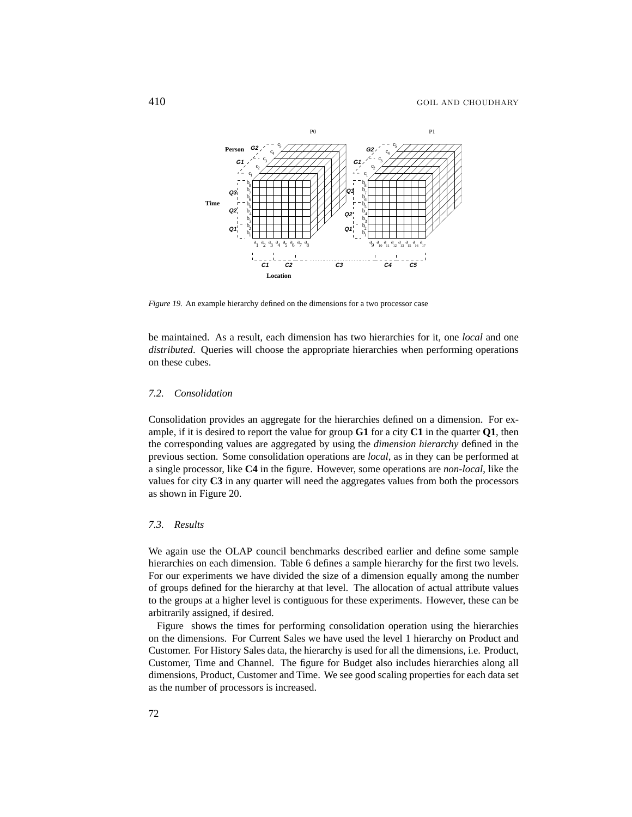

*Figure 19.* An example hierarchy defined on the dimensions for a two processor case

be maintained. As a result, each dimension has two hierarchies for it, one *local* and one *distributed*. Queries will choose the appropriate hierarchies when performing operations on these cubes.

# *7.2. Consolidation*

Consolidation provides an aggregate for the hierarchies defined on a dimension. For example, if it is desired to report the value for group **G1** for a city **C1** in the quarter **Q1**, then the corresponding values are aggregated by using the *dimension hierarchy* defined in the previous section. Some consolidation operations are *local*, as in they can be performed at a single processor, like **C4** in the figure. However, some operations are *non-local*, like the values for city **C3** in any quarter will need the aggregates values from both the processors as shown in Figure 20.

# *7.3. Results*

We again use the OLAP council benchmarks described earlier and define some sample hierarchies on each dimension. Table 6 defines a sample hierarchy for the first two levels. For our experiments we have divided the size of a dimension equally among the number of groups defined for the hierarchy at that level. The allocation of actual attribute values to the groups at a higher level is contiguous for these experiments. However, these can be arbitrarily assigned, if desired.

Figure shows the times for performing consolidation operation using the hierarchies on the dimensions. For Current Sales we have used the level 1 hierarchy on Product and Customer. For History Sales data, the hierarchy is used for all the dimensions, i.e. Product, Customer, Time and Channel. The figure for Budget also includes hierarchies along all dimensions, Product, Customer and Time. We see good scaling properties for each data set as the number of processors is increased.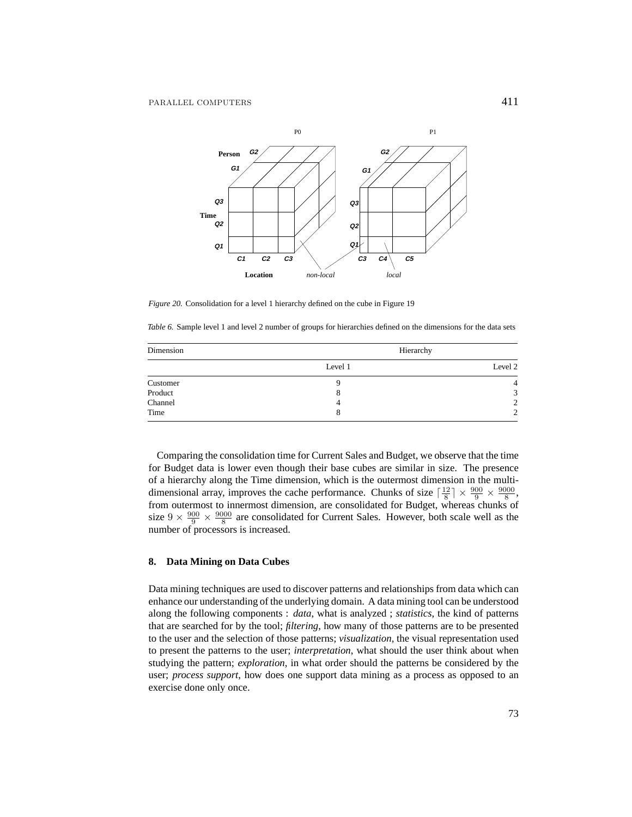

*Figure 20.* Consolidation for a level 1 hierarchy defined on the cube in Figure 19

*Table 6.* Sample level 1 and level 2 number of groups for hierarchies defined on the dimensions for the data sets

| Dimension | Hierarchy |                |
|-----------|-----------|----------------|
|           | Level 1   | Level 2        |
| Customer  |           | $\overline{4}$ |
| Product   | 8         | 3              |
| Channel   | 4         | 2              |
| Time      | 8         | 2              |

Comparing the consolidation time for Current Sales and Budget, we observe that the time for Budget data is lower even though their base cubes are similar in size. The presence of a hierarchy along the Time dimension, which is the outermost dimension in the multidimensional array, improves the cache performance. Chunks of size  $\lceil \frac{12}{8} \rceil \times \frac{900}{9} \times \frac{9000}{8}$ , from outermost to innermost dimension, are consolidated for Budget, whereas chunks of size  $9 \times \frac{900}{9} \times \frac{9000}{8}$  are consolidated for Current Sales. However, both scale well as the number of processors is increased.

# **8. Data Mining on Data Cubes**

Data mining techniques are used to discover patterns and relationships from data which can enhance our understanding of the underlying domain. A data mining tool can be understood along the following components : *data*, what is analyzed ; *statistics*, the kind of patterns that are searched for by the tool; *filtering*, how many of those patterns are to be presented to the user and the selection of those patterns; *visualization*, the visual representation used to present the patterns to the user; *interpretation*, what should the user think about when studying the pattern; *exploration*, in what order should the patterns be considered by the user; *process support*, how does one support data mining as a process as opposed to an exercise done only once.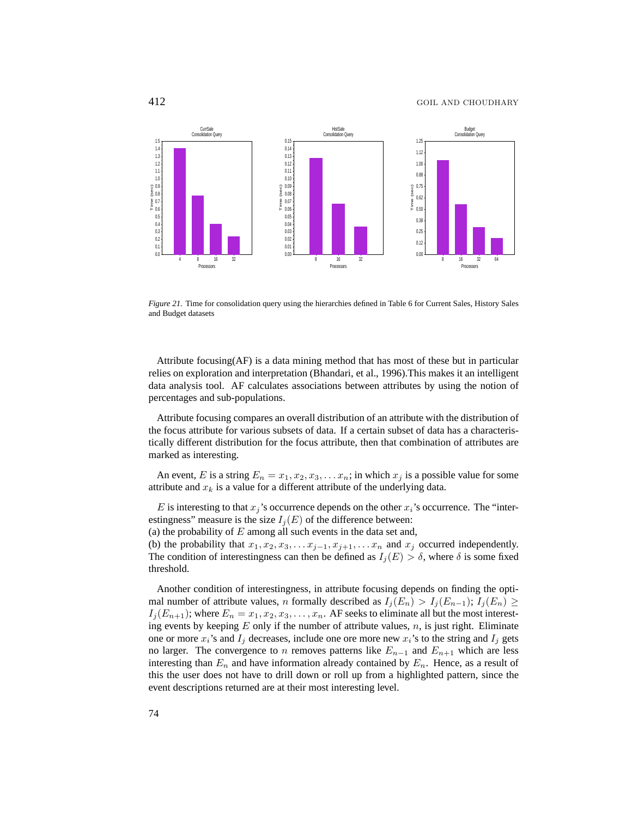

*Figure 21.* Time for consolidation query using the hierarchies defined in Table 6 for Current Sales, History Sales and Budget datasets

Attribute focusing  $(AF)$  is a data mining method that has most of these but in particular relies on exploration and interpretation (Bhandari, et al., 1996).This makes it an intelligent data analysis tool. AF calculates associations between attributes by using the notion of percentages and sub-populations.

Attribute focusing compares an overall distribution of an attribute with the distribution of the focus attribute for various subsets of data. If a certain subset of data has a characteristically different distribution for the focus attribute, then that combination of attributes are marked as interesting.

An event, E is a string  $E_n = x_1, x_2, x_3, \ldots, x_n$ ; in which  $x_j$  is a possible value for some attribute and  $x_k$  is a value for a different attribute of the underlying data.

E is interesting to that  $x_j$ 's occurrence depends on the other  $x_i$ 's occurrence. The "interestingness" measure is the size  $I_i(E)$  of the difference between:

(a) the probability of  $E$  among all such events in the data set and,

(b) the probability that  $x_1, x_2, x_3, \ldots x_{j-1}, x_{j+1}, \ldots x_n$  and  $x_j$  occurred independently. The condition of interestingness can then be defined as  $I_i(E) > \delta$ , where  $\delta$  is some fixed threshold.

Another condition of interestingness, in attribute focusing depends on finding the optimal number of attribute values, n formally described as  $I_i(E_n) > I_i(E_{n-1}); I_i(E_n) \geq$  $I_i(E_{n+1})$ ; where  $E_n = x_1, x_2, x_3, \ldots, x_n$ . AF seeks to eliminate all but the most interesting events by keeping  $E$  only if the number of attribute values,  $n$ , is just right. Eliminate one or more  $x_i$ 's and  $I_j$  decreases, include one ore more new  $x_i$ 's to the string and  $I_j$  gets no larger. The convergence to *n* removes patterns like  $E_{n-1}$  and  $E_{n+1}$  which are less interesting than  $E_n$  and have information already contained by  $E_n$ . Hence, as a result of this the user does not have to drill down or roll up from a highlighted pattern, since the event descriptions returned are at their most interesting level.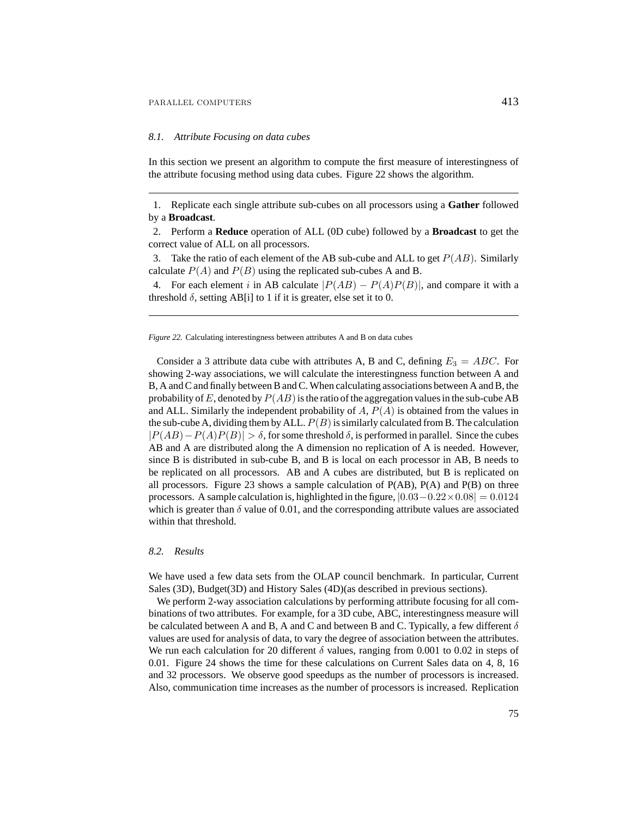# *8.1. Attribute Focusing on data cubes*

In this section we present an algorithm to compute the first measure of interestingness of the attribute focusing method using data cubes. Figure 22 shows the algorithm.

1. Replicate each single attribute sub-cubes on all processors using a **Gather** followed by a **Broadcast**.

2. Perform a **Reduce** operation of ALL (0D cube) followed by a **Broadcast** to get the correct value of ALL on all processors.

3. Take the ratio of each element of the AB sub-cube and ALL to get  $P(AB)$ . Similarly calculate  $P(A)$  and  $P(B)$  using the replicated sub-cubes A and B.

4. For each element i in AB calculate  $|P(AB) - P(A)P(B)|$ , and compare it with a threshold  $\delta$ , setting AB[i] to 1 if it is greater, else set it to 0.

*Figure 22.* Calculating interestingness between attributes A and B on data cubes

Consider a 3 attribute data cube with attributes A, B and C, defining  $E_3 = ABC$ . For showing 2-way associations, we will calculate the interestingness function between A and B, A and C and finally between B and C. When calculating associations between A and B, the probability of E, denoted by  $P(AB)$  is the ratio of the aggregation values in the sub-cube AB and ALL. Similarly the independent probability of  $A, P(A)$  is obtained from the values in the sub-cube A, dividing them by ALL.  $P(B)$  is similarly calculated from B. The calculation  $|P(AB) - P(A)P(B)| > \delta$ , for some threshold  $\delta$ , is performed in parallel. Since the cubes AB and A are distributed along the A dimension no replication of A is needed. However, since B is distributed in sub-cube B, and B is local on each processor in AB, B needs to be replicated on all processors. AB and A cubes are distributed, but B is replicated on all processors. Figure 23 shows a sample calculation of  $P(AB)$ ,  $P(A)$  and  $P(B)$  on three processors. A sample calculation is, highlighted in the figure,  $|0.03-0.22\times0.08| = 0.0124$ which is greater than  $\delta$  value of 0.01, and the corresponding attribute values are associated within that threshold.

#### *8.2. Results*

We have used a few data sets from the OLAP council benchmark. In particular, Current Sales (3D), Budget(3D) and History Sales (4D)(as described in previous sections).

We perform 2-way association calculations by performing attribute focusing for all combinations of two attributes. For example, for a 3D cube, ABC, interestingness measure will be calculated between A and B, A and C and between B and C. Typically, a few different  $\delta$ values are used for analysis of data, to vary the degree of association between the attributes. We run each calculation for 20 different  $\delta$  values, ranging from 0.001 to 0.02 in steps of 0.01. Figure 24 shows the time for these calculations on Current Sales data on 4, 8, 16 and 32 processors. We observe good speedups as the number of processors is increased. Also, communication time increases as the number of processors is increased. Replication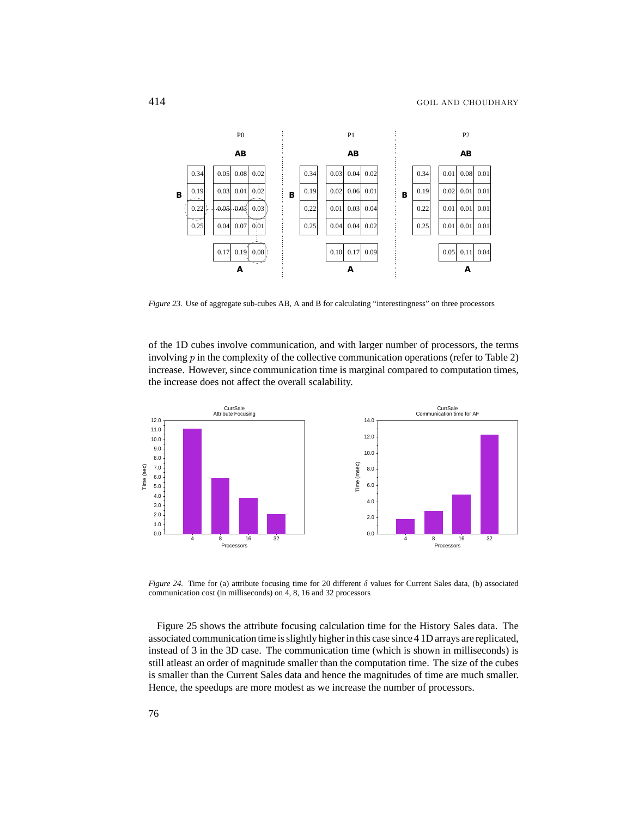

*Figure 23.* Use of aggregate sub-cubes AB, A and B for calculating "interestingness" on three processors

of the 1D cubes involve communication, and with larger number of processors, the terms involving  $p$  in the complexity of the collective communication operations (refer to Table 2) increase. However, since communication time is marginal compared to computation times, the increase does not affect the overall scalability.



*Figure 24.* Time for (a) attribute focusing time for 20 different  $\delta$  values for Current Sales data, (b) associated communication cost (in milliseconds) on 4, 8, 16 and 32 processors

Figure 25 shows the attribute focusing calculation time for the History Sales data. The associated communication time is slightly higher in this case since 4 1D arrays are replicated, instead of 3 in the 3D case. The communication time (which is shown in milliseconds) is still atleast an order of magnitude smaller than the computation time. The size of the cubes is smaller than the Current Sales data and hence the magnitudes of time are much smaller. Hence, the speedups are more modest as we increase the number of processors.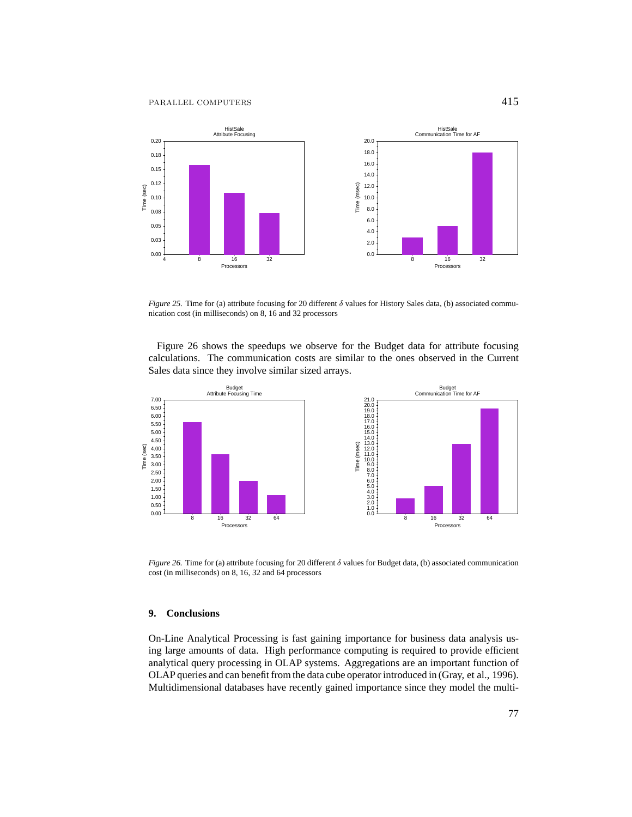

*Figure 25.* Time for (a) attribute focusing for 20 different δ values for History Sales data, (b) associated communication cost (in milliseconds) on 8, 16 and 32 processors

Figure 26 shows the speedups we observe for the Budget data for attribute focusing calculations. The communication costs are similar to the ones observed in the Current Sales data since they involve similar sized arrays.



*Figure 26.* Time for (a) attribute focusing for 20 different  $\delta$  values for Budget data, (b) associated communication cost (in milliseconds) on 8, 16, 32 and 64 processors

# **9. Conclusions**

On-Line Analytical Processing is fast gaining importance for business data analysis using large amounts of data. High performance computing is required to provide efficient analytical query processing in OLAP systems. Aggregations are an important function of OLAP queries and can benefit from the data cube operator introduced in (Gray, et al., 1996). Multidimensional databases have recently gained importance since they model the multi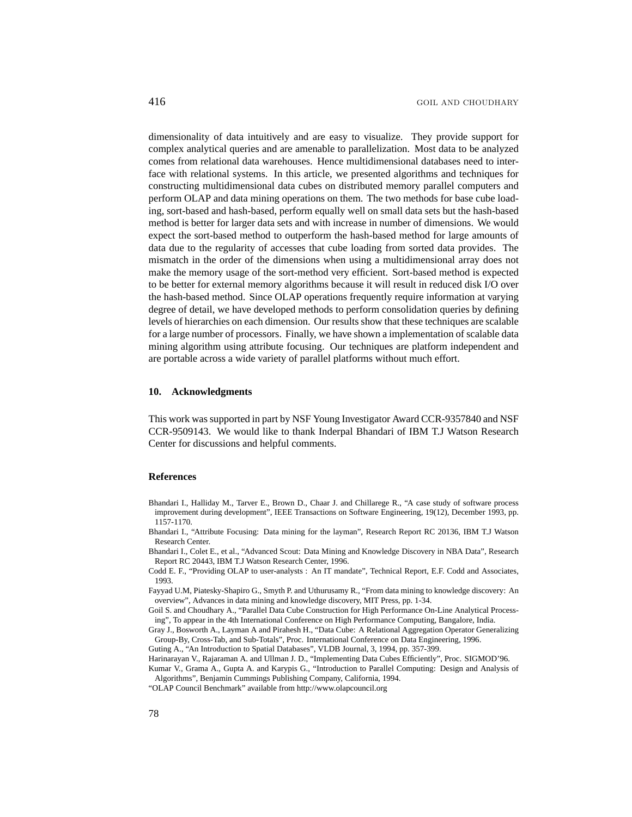dimensionality of data intuitively and are easy to visualize. They provide support for complex analytical queries and are amenable to parallelization. Most data to be analyzed comes from relational data warehouses. Hence multidimensional databases need to interface with relational systems. In this article, we presented algorithms and techniques for constructing multidimensional data cubes on distributed memory parallel computers and perform OLAP and data mining operations on them. The two methods for base cube loading, sort-based and hash-based, perform equally well on small data sets but the hash-based method is better for larger data sets and with increase in number of dimensions. We would expect the sort-based method to outperform the hash-based method for large amounts of data due to the regularity of accesses that cube loading from sorted data provides. The mismatch in the order of the dimensions when using a multidimensional array does not make the memory usage of the sort-method very efficient. Sort-based method is expected to be better for external memory algorithms because it will result in reduced disk I/O over the hash-based method. Since OLAP operations frequently require information at varying degree of detail, we have developed methods to perform consolidation queries by defining levels of hierarchies on each dimension. Our results show that these techniques are scalable for a large number of processors. Finally, we have shown a implementation of scalable data mining algorithm using attribute focusing. Our techniques are platform independent and are portable across a wide variety of parallel platforms without much effort.

# **10. Acknowledgments**

This work was supported in part by NSF Young Investigator Award CCR-9357840 and NSF CCR-9509143. We would like to thank Inderpal Bhandari of IBM T.J Watson Research Center for discussions and helpful comments.

# **References**

- Bhandari I., Halliday M., Tarver E., Brown D., Chaar J. and Chillarege R., "A case study of software process improvement during development", IEEE Transactions on Software Engineering, 19(12), December 1993, pp. 1157-1170.
- Bhandari I., "Attribute Focusing: Data mining for the layman", Research Report RC 20136, IBM T.J Watson Research Center.
- Bhandari I., Colet E., et al., "Advanced Scout: Data Mining and Knowledge Discovery in NBA Data", Research Report RC 20443, IBM T.J Watson Research Center, 1996.
- Codd E. F., "Providing OLAP to user-analysts : An IT mandate", Technical Report, E.F. Codd and Associates, 1993.
- Fayyad U.M, Piatesky-Shapiro G., Smyth P. and Uthurusamy R., "From data mining to knowledge discovery: An overview", Advances in data mining and knowledge discovery, MIT Press, pp. 1-34.

Goil S. and Choudhary A., "Parallel Data Cube Construction for High Performance On-Line Analytical Processing", To appear in the 4th International Conference on High Performance Computing, Bangalore, India.

Gray J., Bosworth A., Layman A and Pirahesh H., "Data Cube: A Relational Aggregation Operator Generalizing Group-By, Cross-Tab, and Sub-Totals", Proc. International Conference on Data Engineering, 1996.

Guting A., "An Introduction to Spatial Databases", VLDB Journal, 3, 1994, pp. 357-399.

- Harinarayan V., Rajaraman A. and Ullman J. D., "Implementing Data Cubes Efficiently", Proc. SIGMOD'96.
- Kumar V., Grama A., Gupta A. and Karypis G., "Introduction to Parallel Computing: Design and Analysis of Algorithms", Benjamin Cummings Publishing Company, California, 1994.

<sup>&</sup>quot;OLAP Council Benchmark" available from http://www.olapcouncil.org